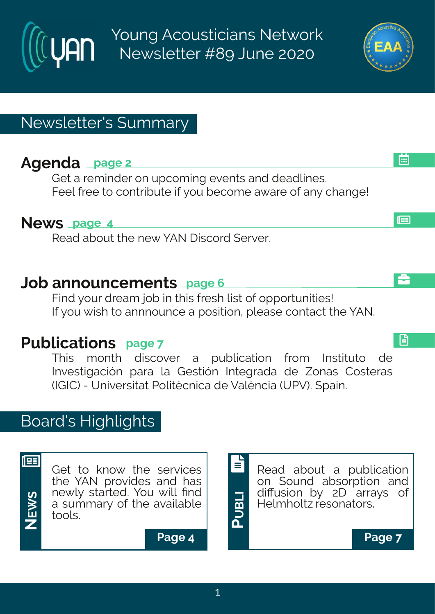Young Acousticians Network Newsletter #89 June 2020

# Newsletter's Summary

# **Agenda page 2**

Get a reminder on upcoming events and deadlines. Feel free to contribute if you become aware of any change!

### **News page 4**

Read about the new YAN Discord Server.

### **Job announcements page 6**

Find your dream job in this fresh list of opportunities! If you wish to annnounce a position, please contact the YAN.

# **Publications page 7**

This month discover a publication from Instituto de Investigación para la Gestión Integrada de Zonas Costeras (IGIC) - Universitat Politècnica de València (UPV). Spain.

# Board's Highlights



**NE**

<u>ທ</u>

Get to know the services the YAN provides and has newly started. You will find a summary of the available tools. **W**

**Page 4 Page 7**



**P**





画

l⊞

å

日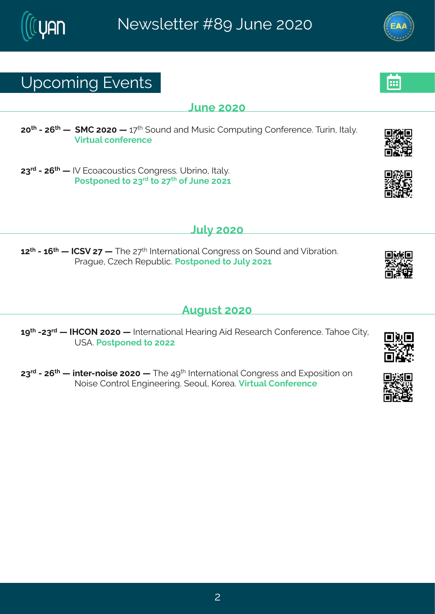# Yt gsq mk#Jzi r xw

#### Qri #575

75<sup>x|</sup>#2#7;<sup>x|</sup>#1|#{RH#7575#|#6<<sup>x|</sup>#{syrh#erh#Rywmg#Hsqtyxmnk#Hsrjivirgi3#Xywm1#Nep}3# Znowep#gsrii virgi

78<sup>th</sup> #247; <sup>x</sup> # #3Z#Jgsegsywmogw#Hsrkviww3AYfwnns1#Nep} 3# Us wat srih#s#78<sup>th</sup>#s#7<<sup>x|</sup> #si#Oyri#7576

### $Q/\beta$ #575

 $67^{\text{N}}$ #246;  $^{\text{N}}$ # #NH(Z#7<# #XIi#7< $^{\text{N}}$ #Naxivrexmsrep#Hsrkviww#sr#syrh#erh#Zmfvexmsr3# Uveky i #H~i gl#W ty fpog3LJs w tsrih#s#Oyp}#7576

Fykyw#575

6 x #278 h # #NUHTS #7575 # # N xi vrexms rep# Nievn k # F mh # N' wievgl # Hsrjivirgi 33 Kel si # Hn x} # Y (F3Us wat srih#s#577

78<sup>vh</sup>#247; <sup>x|</sup> # # mxi v2rsmvi#7575# #Xli#9><sup>x|</sup> # Nxi vrexmsrep#Hsrkvi ww#erh#Jltswmxmsr#sr# Ssmwi#Hsrxvsp#Jrkmiiwmk3#(isyp#Psvie3#Zmxvep#Hsrjivirgi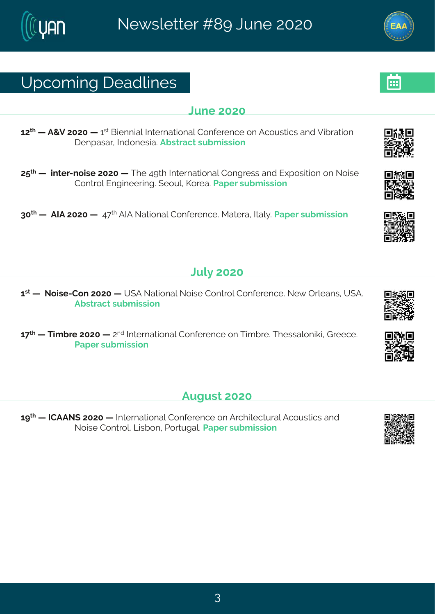# Yt gsq mk# i ehpni w

#### Qri#575

67<sup>x</sup> # #F+Z#7575# #6<sup>w</sup>#Gmirrmeg#Ntxivrexmsreg#Hsrjivirgi#sr#Fgsywxmgw#erh#Zmfivexmsr I i rt ewev#Nthsriwe3Ff wwegx#w f g mwnsr

7: <sup>x</sup> # # mxi v2r smvi #7575# #XI i #9>xl #Nxi vrexmsrep#Hsrkvi ww.#erh#lltsw.nxmsr#sr#Ssmwi# Hsr xvsp#Jr kmii vmk 3# i syp #Psvie 3# Jet i v#w f q mwnar

85<sup>x</sup> # #FNF#7575# #Ae<<sup>x</sup> #FNF#Sexmsrep#Hsrjivirgi3#Rexive1#Nep}3#Jetiv#wyfq mww.nsr

### $Q/\beta$ #575

6 \*\* # £ f # 5 mi 2 Hsr # 7575 # # (F # Sexmsrep# Ssmwi# Hsr x sp# Hsrjivirgi 3# Si { # T ypier w # Y (F 3# Ff wwegx#w f q mwnsr

 $6 *u*$  # # Xmo, f vi#7575 # #  $7<sup>r h</sup>$  # Na ivrexns rep# Hsrjivirgi#sr# Xmo, f vi33XI ivwe psrmom# Liviigi3# Uet i v#w f q mwnsr

**Fykyw#575** 

6 x 4 # # # HFFS (#7575 # # Nixi vrex nsrep# Hsrjivirgi#sr#Fvglmoigxyvep#Fgsywnogw#erh# Ssmithsr xxsp\$Qmf srt#Jsvxykep\$Jetiv#wfq mwnsr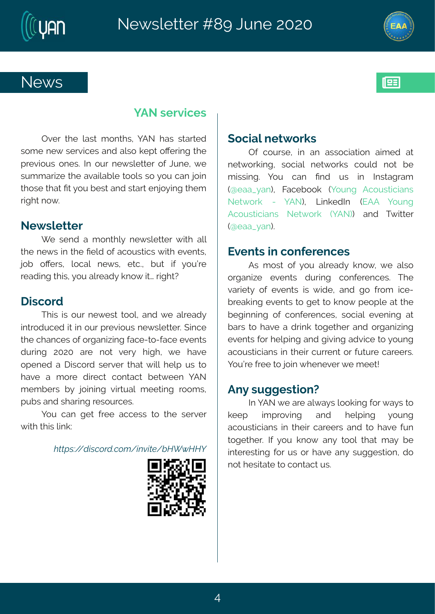

#### 1 FS#wivzraiw

Tzi v#xl i #pewx#q srxl w1#| FS#l ew#wwewih# wsqi#ti{#wivzmojiw#erh#epws#bitx#sOiwnnk#xli# tviznosy w#sriw3#Nt#sy w#ri{wojxxiw#sj#Oyri1#{i# wyg g evnai# ki #ezempef pi#sspw#ws#isy#ger#nsm# xl swi# lex4Px4 sy#liw<br h#wew 4 rns mk# liq #  $v||x|| \times f$  s{ 3

#### Si { wpi x xi v

[ i#wirh#e#q srxlp}#ri{ wpixxiv#{ mal#epp# xli#ri{ w#m#xli#Piph#sj#eqsywxmogw#{ mxl#izir xw1# nsf#sOi ww1#psgep#ri{w1#ixg31#fyx#njn#}syðvi# viehmk# wm#sy#epvieh}#ors{#wattwhalxD

#### I mas vh

XI mothomits y vth i { i woths splitter htt i the pvi eh}# mashygih#na#m#syv#tviznsyv#ri{wpixxiv3#mngi# xli#glergiw#sj#swkerm<munk#egi2xs2jegi#zirxw# hywnk#7575#evi#rsx#ziv}#lmkl# $\{ i #1 ezi #$ stirih#e#Immgsvh#wivziv#xlex#{mpo#lipt#yw#xs# lezi#e#q svi#hmigx#gsrxegx#fix{iir#]FS# q iq f i w#f }#nsmmk#znowyep#q i i xnnk#vssq w1# t yf w#er h#wl ewnk#wi wsy vgi w8

sy#ger#kix#jvii#eggiww#xs#xli#wivziv# { mol #d mov#pmo?#

 $W\rightarrow{\mathbf{B}}$  ·  $\ddot{\mathbf{\theta}}$  -  $\ddot{\mathbf{\theta}}$  -  $\ddot{\mathbf{\theta}}$  .  $\ddot{\mathbf{\theta}}$  -  $\ddot{\mathbf{\theta}}$  -  $\ddot{\mathbf{\theta}}$  -  $\ddot{\mathbf{\theta}}$  -  $\ddot{\mathbf{\theta}}$  -  $\ddot{\mathbf{\theta}}$  -  $\ddot{\mathbf{\theta}}$  -  $\ddot{\mathbf{\theta}}$  -  $\ddot{\mathbf{\theta}}$  -  $\ddot{\mathbf{\theta}}$  -  $\ddot{\mathbf{\theta}}$  -  $\ddot{\mathbf{\theta}}$ 

#### (samept i x svow

Ti#qsywi #m#er#ewwsqrexmsr#erqih#ex# rix{ svom k # wsgmep#rix{ svow # qsyph#rsx#fi# q mww.mk $\frac{3t}{2}$  sy# ger# Prh# yw# m# Nawekveg# -Eieec}er. # Kegifsso#-lsyrk#Fgsywmormerw# Six svo# 2# ] FS .# Qmoi hN# JFF# ] syrk# Fasywomer w# Six svo#-1 FS..# erh# X{ nxiv# Ei eec} er .3

#### Jzir xw#n#gsrji virgi w

Fw#q sww#sj#} sy#epvieh}#ors{ # {# i#epws# swkermai# izirxw# hywmk# qsrjivirgiw \$#Xli# zevnix) #si#i zi r xw#mw#{ mli #ter h#ks#jvsq #mgi 2 f vieonnk#zirxw#xs#kix#xs#brs{#tistpi#ex#xli# f i km r m k#sj#gsrji vi r gi w # wsgrep #i zi r m k#ex# fewths # ezi#e#h wno # skixliv#erh#sykerm mk# izir xw#sv#intmk#erh#knzmnk#ehzmoi#xs#isvrk# egsywngrar w#m#d im#gywir x#sw#jyxyvi#geviiw@# lsvð i#vii#xs#nsm#liriziv#li#qiix\$

#### $Fr$ }#wkkiwxnsrD

 $N4FSH$  i #evi#ep{e}w#pssomnk#sw#e}w#s# oiit# mottwszmnk# erh#liptmnk#}svrk# egsywomerw#m#xlim#geviiw#erh#xs#lezi#jyr# xskixliv3#N#}sy#ors{#er}#xssp#xlex#qe}#fi# muxi viwwnk#jsv#yw#sv#lezi#er}#wykkiwwnsr#hs# r sx# i wwwexi#s#gsrxegx#yw8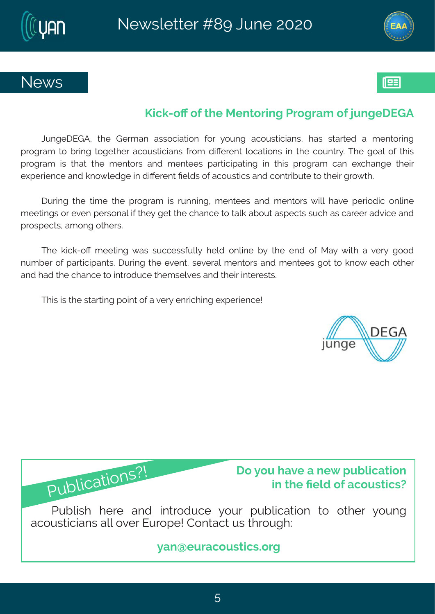



### **News**



## **Kick-off of the Mentoring Program of jungeDEGA**

JungeDEGA, the German association for young acousticians, has started a mentoring program to bring together acousticians from different locations in the country. The goal of this program is that the mentors and mentees participating in this program can exchange their experience and knowledge in different fields of acoustics and contribute to their growth.

During the time the program is running, mentees and mentors will have periodic online meetings or even personal if they get the chance to talk about aspects such as career advice and prospects, among others.

The kick-off meeting was successfully held online by the end of May with a very good number of participants. During the event, several mentors and mentees got to know each other and had the chance to introduce themselves and their interests.

This is the starting point of a very enriching experience!

Publications?!





Publish here and introduce your publication to other young acousticians all over Europe! Contact us through:

**yan@euracoustics.org**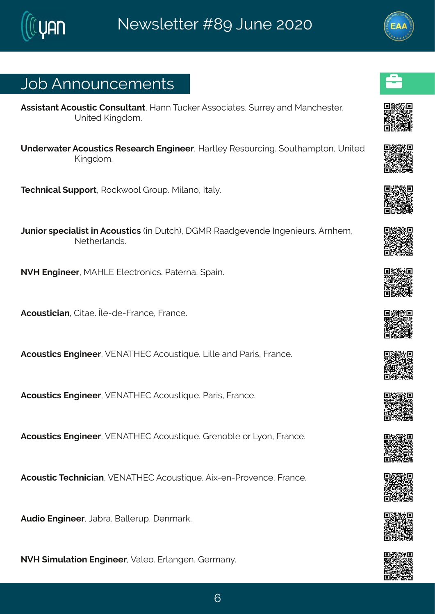## Osf#Frrsyrgiqirxw

Fww.moverx#Fgsywxng#Hsrwypxerx1#Merr#Xygoiv#Fwwsgnexivostywi}#erh#Rergliwxiv1# Yrmih#Pmkhsq 3

Yrhiv{exiv#Fqsywxmgw#Wiwievgl#Jrkmiiv#Mewqi}#Wiwsyvgnnk3#syxlegtxsr#Yrmah# Pmkhsa 3

 $#$ 

Xigl rmgep#yttsw.#1Wsgo {ssp#Lvsyt3#Rmpers#Nep}3

Oyrnav#wtignepmw#n#Fgsywxngw#nn#yxgl.1#LRW#Weehkizirhi#Nkirmiyw&Fvrliq1# Sixliverhw<sub>8</sub>

SZM#Jrkmiiv#RFMQJ#Jpigxvsrmow& Jexivre#(tem3

 $#$ 

Fgsywangrer #Howei 3#pi 2hi 2Kver gi #Kver gi 3

 $#$ 

Fgsyworgw#Jrkmiiv#ZJSFXMJH#Fgsyworayi3KQmpi#erh#Jevm/#Kvergi3

 $#$ 

Fgsywngw#Jrkmiiv#ZJSFXMJH#Fgsywnnayi3#Jevnw#Kvergi3

 $#$ 

Fgsyworgw#Jrkmiiv#ZJSFXMJH#Fgsywwnayi3#Lvirsfpi#sw#Q}sr#Kwergi3

 $#$ 

Fgsywng#X gl ringner 12 JSFXMJH#Fgsywnnayi 3Frh 2i r 2 Uwszi r gi 14Kwer gi 3  $#$ 

Fyhna#Jrkmiiv#Cefve3#Geppivyt#tirqevo3

 $#$ 

SZM# mg y pexms r#Jrkm i iv #Zepis 3#J vperk i r#L ivger} 3